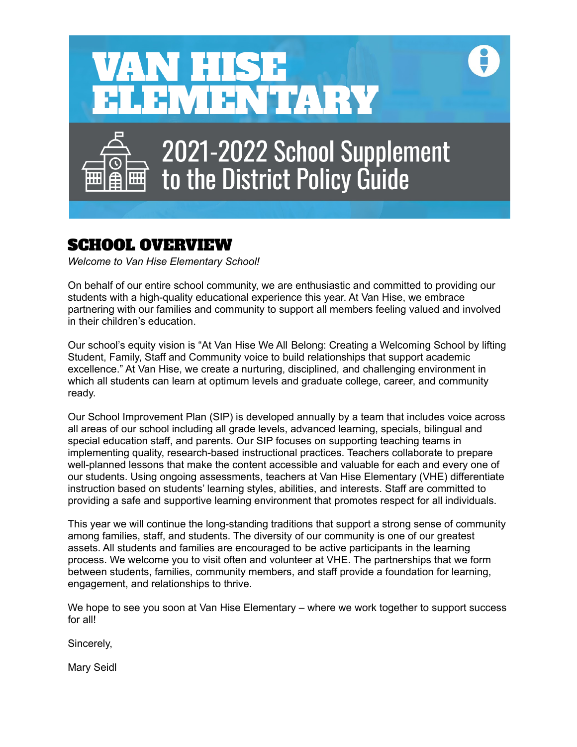

# SCHOOL OVERVIEW

 *Welcome to Van Hise Elementary School!*

 On behalf of our entire school community, we are enthusiastic and committed to providing our students with a high-quality educational experience this year. At Van Hise, we embrace partnering with our families and community to support all members feeling valued and involved in their children's education.

 Our school's equity vision is "At Van Hise We All Belong: Creating a Welcoming School by lifting Student, Family, Staff and Community voice to build relationships that support academic excellence." At Van Hise, we create a nurturing, disciplined, and challenging environment in which all students can learn at optimum levels and graduate college, career, and community ready.

 Our School Improvement Plan (SIP) is developed annually by a team that includes voice across all areas of our school including all grade levels, advanced learning, specials, bilingual and special education staff, and parents. Our SIP focuses on supporting teaching teams in implementing quality, research-based instructional practices. Teachers collaborate to prepare well-planned lessons that make the content accessible and valuable for each and every one of our students. Using ongoing assessments, teachers at Van Hise Elementary (VHE) differentiate instruction based on students' learning styles, abilities, and interests. Staff are committed to providing a safe and supportive learning environment that promotes respect for all individuals.

 This year we will continue the long-standing traditions that support a strong sense of community among families, staff, and students. The diversity of our community is one of our greatest assets. All students and families are encouraged to be active participants in the learning process. We welcome you to visit often and volunteer at VHE. The partnerships that we form between students, families, community members, and staff provide a foundation for learning, engagement, and relationships to thrive.

 We hope to see you soon at Van Hise Elementary – where we work together to support success for all!

Sincerely,

Mary Seidl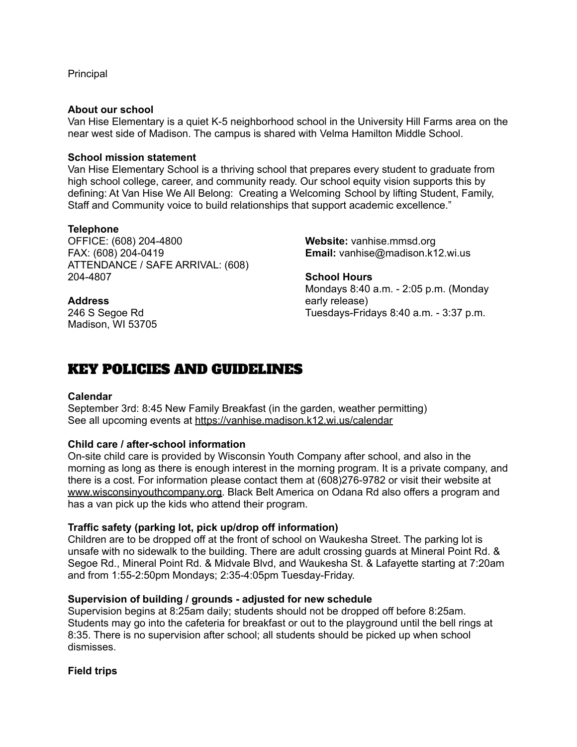**Principal** 

## **About our school**

 Van Hise Elementary is a quiet K-5 neighborhood school in the University Hill Farms area on the near west side of Madison. The campus is shared with Velma Hamilton Middle School.

## **School mission statement**

 Van Hise Elementary School is a thriving school that prepares every student to graduate from high school college, career, and community ready. Our school equity vision supports this by defining: At Van Hise We All Belong: Creating a Welcoming School by lifting Student, Family, Staff and Community voice to build relationships that support academic excellence."

## **Telephone**

OFFICE: (608) 204-4800 FAX: (608) 204-0419 ATTENDANCE / SAFE ARRIVAL: (608) 204-4807 **School Hours**

246 S Segoe Rd Madison, WI 53705 **Website:** [vanhise.mmsd.org](https://vanhise.mmsd.org) Email: [vanhise@madison.k12.wi.us](mailto:vanhise@madison.k12.wi.us)

 Mondays 8:40 a.m. - 2:05 p.m. (Monday 246 S Segoe Rd Tuesdays-Fridays 8:40 a.m. - 3:37 p.m. Address early release)

# KEY POLICIES AND GUIDELINES

#### **Calendar**

 September 3rd: 8:45 New Family Breakfast (in the garden, weather permitting) See all upcoming events at <https://vanhise.madison.k12.wi.us/calendar>

# **Child care / after-school information**

 On-site child care is provided by Wisconsin Youth Company after school, and also in the morning as long as there is enough interest in the morning program. It is a private company, and there is a cost. For information please contact them at (608)276-9782 or visit their website at [www.wisconsinyouthcompany.org.](http://www.wisconsinyouthcompany.org) Black Belt America on Odana Rd also offers a program and has a van pick up the kids who attend their program.

# **Traffic safety (parking lot, pick up/drop off information)**

 Children are to be dropped off at the front of school on Waukesha Street. The parking lot is unsafe with no sidewalk to the building. There are adult crossing guards at Mineral Point Rd. & Segoe Rd., Mineral Point Rd. & Midvale Blvd, and Waukesha St. & Lafayette starting at 7:20am and from 1:55-2:50pm Mondays; 2:35-4:05pm Tuesday-Friday.

# **Supervision of building / grounds - adjusted for new schedule**

 Supervision begins at 8:25am daily; students should not be dropped off before 8:25am. Students may go into the cafeteria for breakfast or out to the playground until the bell rings at 8:35. There is no supervision after school; all students should be picked up when school dismisses.

# **Field trips**